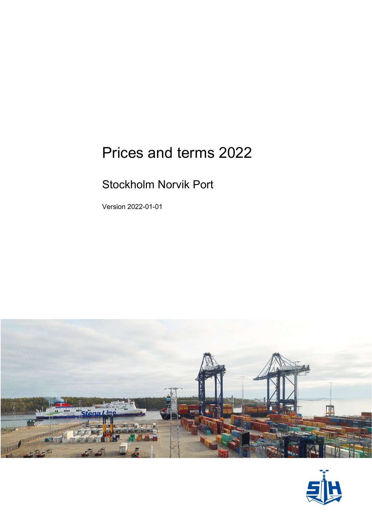# Prices and terms 2022

### Stockholm Norvik Port

Version 2022-01-01



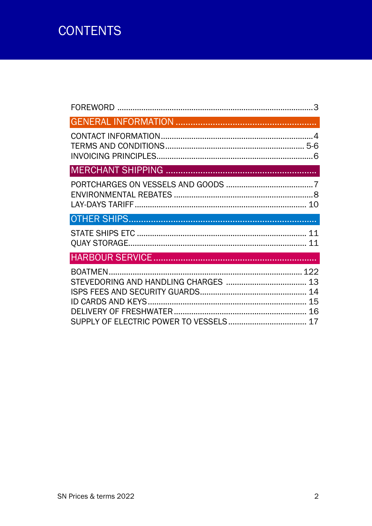## **CONTENTS**

| 10 |
|----|
|    |
| 11 |
|    |
| 17 |
|    |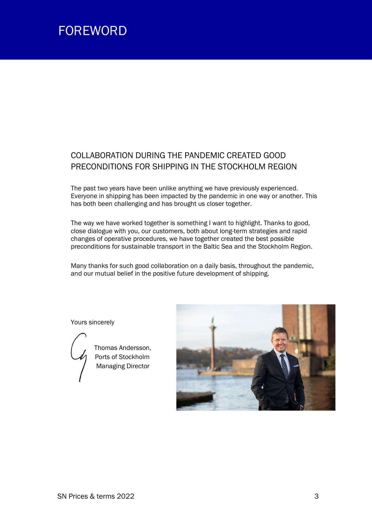### FOREWORD

### COLLABORATION DURING THE PANDEMIC CREATED GOOD PRECONDITIONS FOR SHIPPING IN THE STOCKHOLM REGION

The past two years have been unlike anything we have previously experienced. Everyone in shipping has been impacted by the pandemic in one way or another. This has both been challenging and has brought us closer together.

The way we have worked together is something I want to highlight. Thanks to good, close dialogue with you, our customers, both about long-term strategies and rapid changes of operative procedures, we have together created the best possible preconditions for sustainable transport in the Baltic Sea and the Stockholm Region.

Many thanks for such good collaboration on a daily basis, throughout the pandemic, and our mutual belief in the positive future development of shipping.

Yours sincerely



 Thomas Andersson, Ports of Stockholm **Managing Director** 

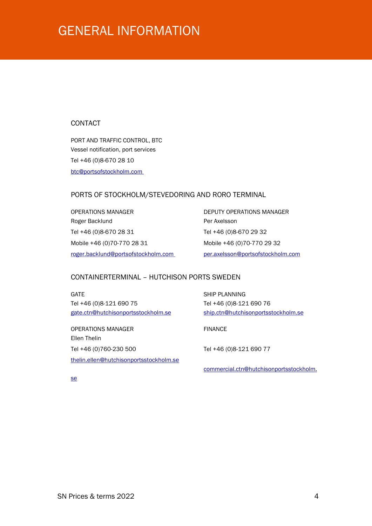### GENERAL INFORMATION

#### CONTACT

PORT AND TRAFFIC CONTROL, BTC Vessel notification, port services Tel +46 (0)8-670 28 10 btc@portsofstockholm.com

#### PORTS OF STOCKHOLM/STEVEDORING AND RORO TERMINAL

OPERATIONS MANAGER DEPUTY OPERATIONS MANAGER Roger Backlund **Per Axelsson** Tel +46 (0)8-670 28 31 Tel +46 (0)8-670 29 32 Mobile +46 (0)70-770 28 31 Mobile +46 (0)70-770 29 32 roger.backlund@portsofstockholm.com per.axelsson@portsofstockholm.com

#### CONTAINERTERMINAL – HUTCHISON PORTS SWEDEN

GATE SHIP PLANNING Tel +46 (0)8-121 690 75 Tel +46 (0)8-121 690 76 gate.ctn@hutchisonportsstockholm.se ship.ctn@hutchisonportsstockholm.se

OPERATIONS MANAGER FINANCE Ellen Thelin Tel +46 (0)760-230 500 Tel +46 (0)8-121 690 77 thelin.ellen@hutchisonportsstockholm.se

commercial.ctn@hutchisonportsstockholm.

se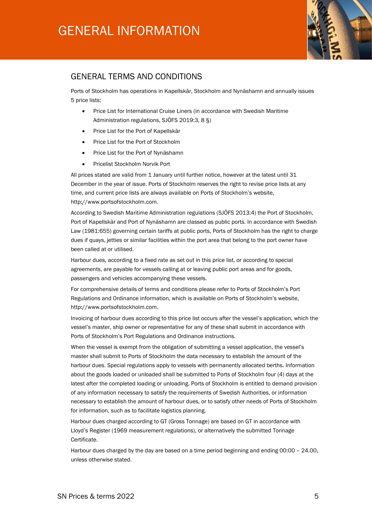

#### GENERAL TERMS AND CONDITIONS

Ports of Stockholm has operations in Kapellskär, Stockholm and Nynäshamn and annually issues 5 price lists;

- Price List for International Cruise Liners (in accordance with Swedish Maritime Administration regulations, SJÖFS 2019:3, 8 §)
- Price List for the Port of Kapellskär
- Price List for the Port of Stockholm
- Price List for the Port of Nynäshamn
- Pricelist Stockholm Norvik Port

All prices stated are valid from 1 January until further notice, however at the latest until 31 December in the year of issue. Ports of Stockholm reserves the right to revise price lists at any time, and current price lists are always available on Ports of Stockholm's website, http://www.portsofstockholm.com.

According to Swedish Maritime Administration regulations (SJÖFS 2013:4) the Port of Stockholm, Port of Kapellskär and Port of Nynäshamn are classed as public ports. In accordance with Swedish Law (1981:655) governing certain tariffs at public ports, Ports of Stockholm has the right to charge dues if quays, jetties or similar facilities within the port area that belong to the port owner have been called at or utilised.

Harbour dues, according to a fixed rate as set out in this price list, or according to special agreements, are payable for vessels calling at or leaving public port areas and for goods, passengers and vehicles accompanying these vessels.

For comprehensive details of terms and conditions please refer to Ports of Stockholm's Port Regulations and Ordinance information, which is available on Ports of Stockholm's website, http://www.portsofstockholm.com.

Invoicing of harbour dues according to this price list occurs after the vessel's application, which the vessel's master, ship owner or representative for any of these shall submit in accordance with Ports of Stockholm's Port Regulations and Ordinance instructions.

When the vessel is exempt from the obligation of submitting a vessel application, the vessel's master shall submit to Ports of Stockholm the data necessary to establish the amount of the harbour dues. Special regulations apply to vessels with permanently allocated berths. Information about the goods loaded or unloaded shall be submitted to Ports of Stockholm four (4) days at the latest after the completed loading or unloading. Ports of Stockholm is entitled to demand provision of any information necessary to satisfy the requirements of Swedish Authorities, or information necessary to establish the amount of harbour dues, or to satisfy other needs of Ports of Stockholm for information, such as to facilitate logistics planning.

Harbour dues charged according to GT (Gross Tonnage) are based on GT in accordance with Lloyd's Register (1969 measurement regulations), or alternatively the submitted Tonnage Certificate.

Harbour dues charged by the day are based on a time period beginning and ending 00:00 – 24.00, unless otherwise stated.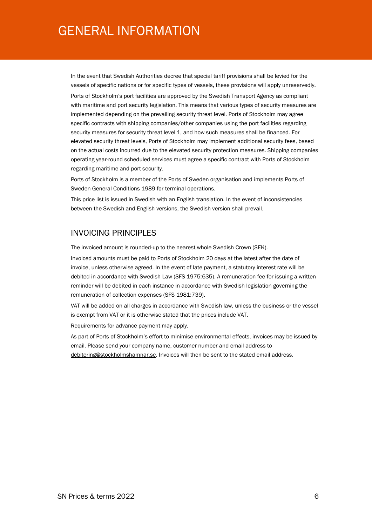### GENERAL INFORMATION

In the event that Swedish Authorities decree that special tariff provisions shall be levied for the vessels of specific nations or for specific types of vessels, these provisions will apply unreservedly.

Ports of Stockholm's port facilities are approved by the Swedish Transport Agency as compliant with maritime and port security legislation. This means that various types of security measures are implemented depending on the prevailing security threat level. Ports of Stockholm may agree specific contracts with shipping companies/other companies using the port facilities regarding security measures for security threat level 1, and how such measures shall be financed. For elevated security threat levels, Ports of Stockholm may implement additional security fees, based on the actual costs incurred due to the elevated security protection measures. Shipping companies operating year-round scheduled services must agree a specific contract with Ports of Stockholm regarding maritime and port security.

Ports of Stockholm is a member of the Ports of Sweden organisation and implements Ports of Sweden General Conditions 1989 for terminal operations.

This price list is issued in Swedish with an English translation. In the event of inconsistencies between the Swedish and English versions, the Swedish version shall prevail.

#### INVOICING PRINCIPLES

The invoiced amount is rounded-up to the nearest whole Swedish Crown (SEK).

Invoiced amounts must be paid to Ports of Stockholm 20 days at the latest after the date of invoice, unless otherwise agreed. In the event of late payment, a statutory interest rate will be debited in accordance with Swedish Law (SFS 1975:635). A remuneration fee for issuing a written reminder will be debited in each instance in accordance with Swedish legislation governing the remuneration of collection expenses (SFS 1981:739).

VAT will be added on all charges in accordance with Swedish law, unless the business or the vessel is exempt from VAT or it is otherwise stated that the prices include VAT.

Requirements for advance payment may apply.

As part of Ports of Stockholm's effort to minimise environmental effects, invoices may be issued by email. Please send your company name, customer number and email address to debitering@stockholmshamnar.se. Invoices will then be sent to the stated email address.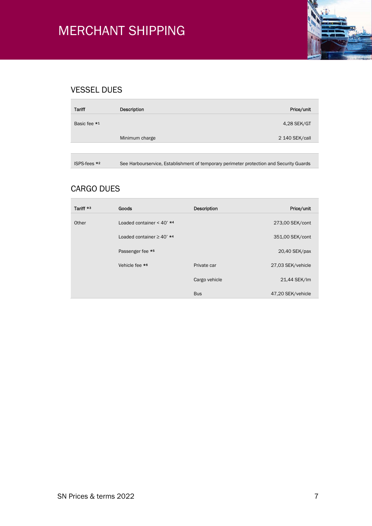

### VESSEL DUES

| <b>Tariff</b> | Description    | Price/unit     |
|---------------|----------------|----------------|
| Basic fee *1  |                | 4,28 SEK/GT    |
|               | Minimum charge | 2 140 SEK/call |
|               |                |                |
|               |                |                |

ISPS-fees \*<sup>2</sup> See Harbourservice, Establishment of temporary perimeter protection and Security Guards

### CARGO DUES

| Tariff *3 | Goods                          | <b>Description</b> | Price/unit        |
|-----------|--------------------------------|--------------------|-------------------|
| Other     | Loaded container < 40' $*4$    |                    | 273,00 SEK/cont   |
|           | Loaded container $\geq$ 40' *4 |                    | 351,00 SEK/cont   |
|           | Passenger fee *5               |                    | 20,40 SEK/pax     |
|           | Vehicle fee *6                 | Private car        | 27,03 SEK/vehicle |
|           |                                | Cargo vehicle      | 21,44 SEK/Im      |
|           |                                | <b>Bus</b>         | 47,20 SEK/vehicle |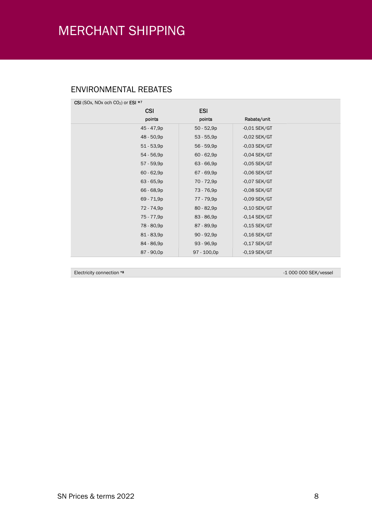### ENVIRONMENTAL REBATES

| CSI (SOx, NOx och CO <sub>2</sub> ) or ESI $*7$ |              |                |  |
|-------------------------------------------------|--------------|----------------|--|
| <b>CSI</b>                                      | <b>ESI</b>   |                |  |
| points                                          | points       | Rabate/unit    |  |
| 45 - 47,9p                                      | $50 - 52,9p$ | $-0.01$ SEK/GT |  |
| 48 - 50,9p                                      | $53 - 55,9p$ | $-0.02$ SEK/GT |  |
| $51 - 53,9p$                                    | 56 - 59,9p   | $-0.03$ SEK/GT |  |
| 54 - 56,9p                                      | $60 - 62,9p$ | $-0.04$ SEK/GT |  |
| 57 - 59,9p                                      | $63 - 66,9p$ | $-0.05$ SEK/GT |  |
| $60 - 62,9p$                                    | 67 - 69,9p   | $-0,06$ SEK/GT |  |
| $63 - 65,9p$                                    | 70 - 72,9p   | $-0.07$ SEK/GT |  |
| 66 - 68,9p                                      | 73 - 76,9p   | $-0.08$ SEK/GT |  |
| 69 - 71,9p                                      | 77 - 79,9p   | $-0.09$ SEK/GT |  |
| 72 - 74,9p                                      | $80 - 82,9p$ | $-0,10$ SEK/GT |  |
| 75 - 77,9p                                      | $83 - 86,9p$ | $-0,14$ SEK/GT |  |
| 78 - 80,9p                                      | 87 - 89,9p   | $-0,15$ SEK/GT |  |
| 81 - 83,9p                                      | $90 - 92,9p$ | $-0,16$ SEK/GT |  |
| 84 - 86,9p                                      | $93 - 96,9p$ | $-0,17$ SEK/GT |  |
| 87 - 90,0p                                      | 97 - 100,0p  | $-0,19$ SEK/GT |  |

Electricity connection \*8 -1 000 000 SEK/vessel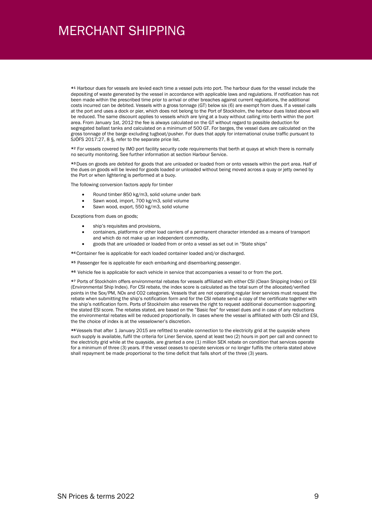\*1 Harbour dues for vessels are levied each time a vessel puts into port. The harbour dues for the vessel include the depositing of waste generated by the vessel in accordance with applicable laws and regulations. If notification has not been made within the prescribed time prior to arrival or other breaches against current regulations, the additional costs incurred can be debited. Vessels with a gross tonnage (GT) below six (6) are exempt from dues. If a vessel calls at the port and uses a dock or pier, which does not belong to the Port of Stockholm, the harbour dues listed above will be reduced. The same discount applies to vessels which are lying at a buoy without calling into berth within the port area. From January 1st, 2012 the fee is always calculated on the GT without regard to possible deduction for segregated ballast tanks and calculated on a minimum of 500 GT. For barges, the vessel dues are calculated on the gross tonnage of the barge excluding tugboat/pusher. For dues that apply for international cruise traffic pursuant to SJÖFS 2017:27, 8 §, refer to the separate price list.

\*2 For vessels covered by IMO port facility security code requirements that berth at quays at which there is normally no security monitoring. See further information at section Harbour Service.

\*<sup>3</sup> Dues on goods are debited for goods that are unloaded or loaded from or onto vessels within the port area. Half of the dues on goods will be levied for goods loaded or unloaded without being moved across a quay or jetty owned by the Port or when lightering is performed at a buoy.

The following conversion factors apply for timber

- Round timber 850 kg/m3, solid volume under bark
- Sawn wood, import, 700 kg/m3, solid volume
- Sawn wood, export, 550 kg/m3, solid volume

Exceptions from dues on goods;

- ship's requisites and provisions,
- containers, platforms or other load carriers of a permanent character intended as a means of transport and which do not make up an independent commodity,
- goods that are unloaded or loaded from or onto a vessel as set out in "State ships"

\*<sup>4</sup> Container fee is applicable for each loaded container loaded and/or discharged.

- \*5 Passenger fee is applicable for each embarking and disembarking passenger.
- \*6 Vehicle fee is applicable for each vehicle in service that accompanies a vessel to or from the port.

\*7 Ports of Stockholm offers environmental rebates for vessels affiliated with either CSI (Clean Shipping Index) or ESI (Environmental Ship Index). For CSI rebate, the index score is calculated as the total sum of the allocated/verified points in the Sox/PM, NOx and CO2 categories. Vessels that are not operating regular liner services must request the rebate when submitting the ship's notification form and for the CSI rebate send a copy of the certificate together with the ship's notification form. Ports of Stockholm also reserves the right to request additional documention supporting the stated ESI score. The rebates stated, are based on the "Basic fee" for vessel dues and in case of any reductions the environmental rebates will be reduced proportionally. In cases where the vessel is affiliated with both CSI and ESI, the the choice of index is at the vesselowner's discretion.

\*<sup>8</sup> Vessels that after 1 January 2015 are refitted to enable connection to the electricity grid at the quayside where such supply is available, fulfil the criteria for Liner Service, spend at least two (2) hours in port per call and connect to the electricity grid while at the quayside, are granted a one (1) million SEK rebate on condition that services operate for a minimum of three (3) years. If the vessel ceases to operate services or no longer fulfils the criteria stated above shall repayment be made proportional to the time deficit that falls short of the three (3) years.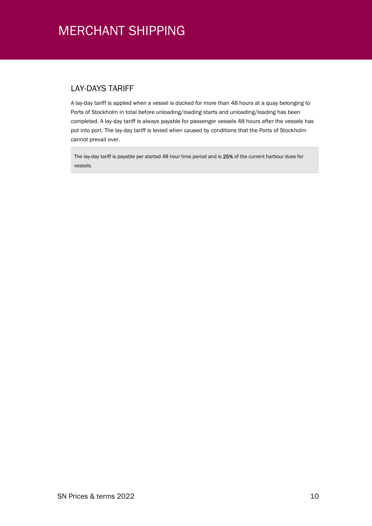### LAY-DAYS TARIFF

A lay-day tariff is applied when a vessel is docked for more than 48 hours at a quay belonging to Ports of Stockholm in total before unloading/loading starts and unloading/loading has been completed. A lay-day tariff is always payable for passenger vessels 48 hours after the vessels has put into port. The lay-day tariff is levied when caused by conditions that the Ports of Stockholm cannot prevail over.

The lay-day tariff is payable per started 48 hour time period and is 25% of the current harbour dues for vessels.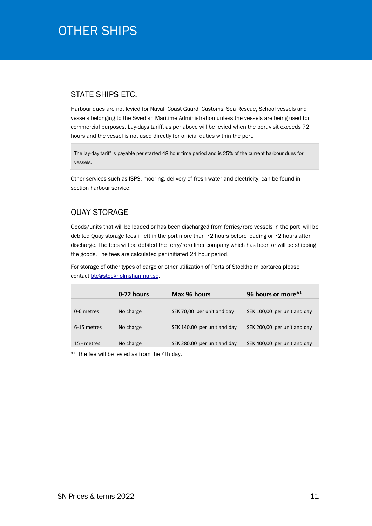### OTHER SHIPS **SHIPS**

#### STATE SHIPS ETC.

Harbour dues are not levied for Naval, Coast Guard, Customs, Sea Rescue, School vessels and vessels belonging to the Swedish Maritime Administration unless the vessels are being used for commercial purposes. Lay-days tariff, as per above will be levied when the port visit exceeds 72 hours and the vessel is not used directly for official duties within the port.

The lay-day tariff is payable per started 48 hour time period and is 25% of the current harbour dues for vessels.

Other services such as ISPS, mooring, delivery of fresh water and electricity, can be found in section harbour service.

#### QUAY STORAGE

Goods/units that will be loaded or has been discharged from ferries/roro vessels in the port will be debited Quay storage fees if left in the port more than 72 hours before loading or 72 hours after discharge. The fees will be debited the ferry/roro liner company which has been or will be shipping the goods. The fees are calculated per initiated 24 hour period.

For storage of other types of cargo or other utilization of Ports of Stockholm portarea please contact btc@stockholmshamnar.se.

|             | 0-72 hours | Max 96 hours                | 96 hours or more*1          |
|-------------|------------|-----------------------------|-----------------------------|
|             |            |                             |                             |
| 0-6 metres  | No charge  | SEK 70,00 per unit and day  | SEK 100,00 per unit and day |
| 6-15 metres | No charge  | SEK 140,00 per unit and day | SEK 200,00 per unit and day |
| 15 - metres | No charge  | SEK 280,00 per unit and day | SEK 400,00 per unit and day |

\* <sup>1</sup> The fee will be levied as from the 4th day.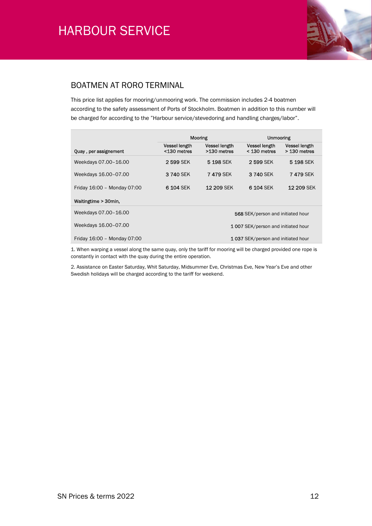

#### BOATMEN AT RORO TERMINAL

This price list applies for mooring/unmooring work. The commission includes 2-4 boatmen according to the safety assessment of Ports of Stockholm. Boatmen in addition to this number will be charged for according to the "Harbour service/stevedoring and handling charges/labor".

|                             | Mooring                            |                                     | <b>Unmooring</b>                       |                               |
|-----------------------------|------------------------------------|-------------------------------------|----------------------------------------|-------------------------------|
| Quay, per assignement       | Vessel length<br><130 metres       | <b>Vessel length</b><br>>130 metres | <b>Vessel length</b><br>$<$ 130 metres | Vessel length<br>> 130 metres |
| Weekdays 07.00-16.00        | 2599 SEK                           | 5 198 SEK                           | 2599 SEK                               | 5 198 SEK                     |
| Weekdays 16.00-07.00        | 3740 SEK                           | <b>7479 SEK</b>                     | 3 740 SEK                              | <b>7 479 SEK</b>              |
| Friday 16:00 - Monday 07:00 | 6 104 SEK                          | <b>12 209 SEK</b>                   | 6 104 SEK                              | 12 209 SEK                    |
| Waitingtime > 30min,        |                                    |                                     |                                        |                               |
| Weekdays 07.00-16.00        |                                    |                                     | 568 SEK/person and initiated hour      |                               |
| Weekdays 16.00-07.00        | 1007 SEK/person and initiated hour |                                     |                                        |                               |
| Friday 16:00 - Monday 07:00 | 1037 SEK/person and initiated hour |                                     |                                        |                               |

1. When warping a vessel along the same quay, only the tariff for mooring will be charged provided one rope is constantly in contact with the quay during the entire operation.

2. Assistance on Easter Saturday, Whit Saturday, Midsummer Eve, Christmas Eve, New Year's Eve and other Swedish holidays will be charged according to the tariff for weekend.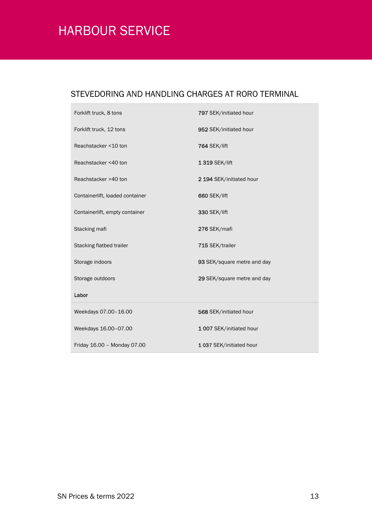### STEVEDORING AND HANDLING CHARGES AT RORO TERMINAL

| Forklift truck, 8 tons          | 797 SEK/initiated hour      |
|---------------------------------|-----------------------------|
| Forklift truck, 12 tons         | 952 SEK/initiated hour      |
| Reachstacker <10 ton            | 764 SEK/lift                |
| Reachstacker <40 ton            | 1 319 SEK/lift              |
| Reachstacker >40 ton            | 2 194 SEK/initiated hour    |
| Containerlift, loaded container | 660 SEK/lift                |
| Containerlift, empty container  | 330 SEK/lift                |
| Stacking mafi                   | 276 SEK/mafi                |
| Stacking flatbed trailer        | 715 SEK/trailer             |
| Storage indoors                 | 93 SEK/square metre and day |
| Storage outdoors                | 29 SEK/square metre and day |
| Labor                           |                             |
| Weekdays 07.00-16.00            | 568 SEK/initiated hour      |
| Weekdays 16.00-07.00            | 1007 SEK/initiated hour     |
| Friday 16.00 - Monday 07.00     | 1037 SEK/initiated hour     |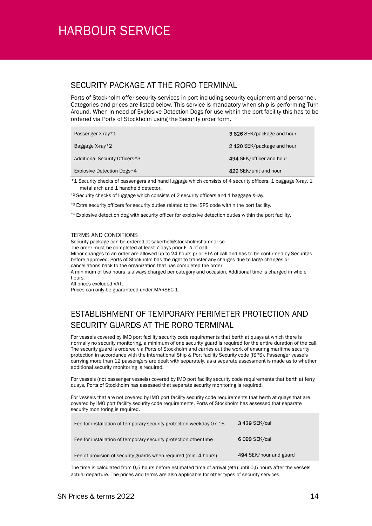#### SECURITY PACKAGE AT THE RORO TERMINAL

Ports of Stockholm offer security services in port including security equipment and personnel. Categories and prices are listed below. This service is mandatory when ship is performing Turn Around. When in need of Explosive Detection Dogs for use within the port facility this has to be ordered via Ports of Stockholm using the Security order form.

| Passenger X-ray*1              | 3826 SEK/package and hour  |
|--------------------------------|----------------------------|
| Baggage $X$ -ray $*2$          | 2 120 SEK/package and hour |
| Additional Security Officers*3 | 494 SEK/officer and hour   |
| Explosive Detection Dogs*4     | 829 SEK/unit and hour      |

\*1 Security checks of passengers and hand luggage which consists of 4 security officers, 1 baggage X-ray, 1 metal arch and 1 handheld detector.

- \*2 Security checks of luggage which consists of 2 security officers and 1 baggage X-ray.
- \*<sup>3</sup> Extra security officers for security duties related to the ISPS code within the port facility.
- \*4 Explosive detection dog with security officer for explosive detection duties within the port facility.

#### TERMS AND CONDITIONS

Security package can be ordered at sakerhet@stockholmshamnar.se.

The order must be completed at least 7 days prior ETA of call.

Minor changes to an order are allowed up to 24 hours prior ETA of call and has to be confirmed by Securitas before approved. Ports of Stockholm has the right to transfer any charges due to large changes or cancellations back to the organization that has completed the order.

A minimum of two hours is always charged per category and occasion. Additional time is charged in whole hours.

All prices excluded VAT.

Prices can only be guaranteed under MARSEC 1.

### ESTABLISHMENT OF TEMPORARY PERIMETER PROTECTION AND SECURITY GUARDS AT THE RORO TERMINAL

For vessels covered by IMO port facility security code requirements that berth at quays at which there is normally no security monitoring, a minimum of one security guard is required for the entire duration of the call. The security guard is ordered via Ports of Stockholm and carries out the work of ensuring maritime security protection in accordance with the International Ship & Port facility Security code (ISPS). Passenger vessels carrying more than 12 passengers are dealt with separately, as a separate assessment is made as to whether additional security monitoring is required.

For vessels (not passenger vessels) covered by IMO port facility security code requirements that berth at ferry quays, Ports of Stockholm has assessed that separate security monitoring is required.

For vessels that are not covered by IMO port facility security code requirements that berth at quays that are covered by IMO port facility security code requirements, Ports of Stockholm has assessed that separate security monitoring is required.

| Fee of provision of security guards when required (min. 4 hours)    | 494 SEK/hour and guard |
|---------------------------------------------------------------------|------------------------|
| Fee for installation of temporary security protection other time    | 6 099 SEK/call         |
| Fee for installation of temporary security protection weekday 07-16 | <b>3 439 SEK/call</b>  |

The time is calculated from 0,5 hours before estimated tima of arrival (eta) until 0,5 hours after the vessels actual departure. The prices and terms are also applicable for other types of security services.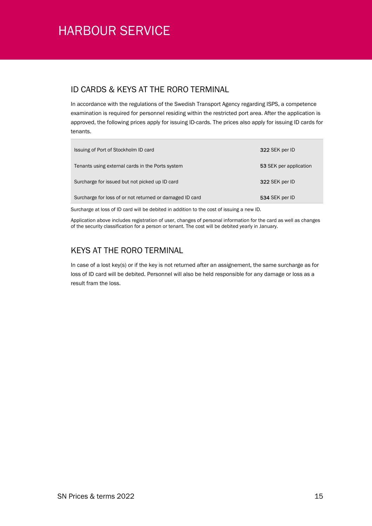#### ID CARDS & KEYS AT THE RORO TERMINAL

In accordance with the regulations of the Swedish Transport Agency regarding ISPS, a competence examination is required for personnel residing within the restricted port area. After the application is approved, the following prices apply for issuing ID-cards. The prices also apply for issuing ID cards for tenants.

| Issuing of Port of Stockholm ID card                     | 322 SEK per ID         |
|----------------------------------------------------------|------------------------|
| Tenants using external cards in the Ports system         | 53 SEK per application |
| Surcharge for issued but not picked up ID card           | 322 SEK per ID         |
| Surcharge for loss of or not returned or damaged ID card | 534 SEK per ID         |

Surcharge at loss of ID card will be debited in addition to the cost of issuing a new ID.

Application above includes registration of user, changes of personal information for the card as well as changes of the security classification for a person or tenant. The cost will be debited yearly in January.

### KEYS AT THE RORO TERMINAL

In case of a lost key(s) or if the key is not returned after an assignement, the same surcharge as for loss of ID card will be debited. Personnel will also be held responsible for any damage or loss as a result fram the loss.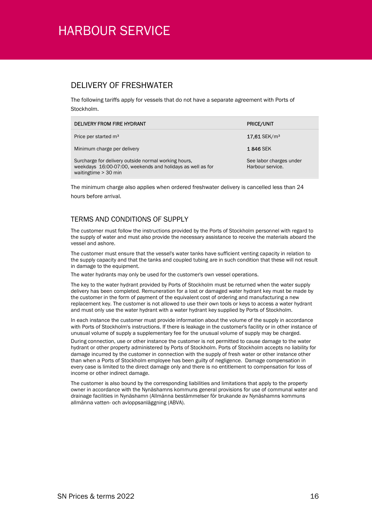#### DELIVERY OF FRESHWATER

The following tariffs apply for vessels that do not have a separate agreement with Ports of Stockholm.

| DELIVERY FROM FIRE HYDRANT                                                                                                                 | <b>PRICE/UNIT</b>                           |
|--------------------------------------------------------------------------------------------------------------------------------------------|---------------------------------------------|
| Price per started m <sup>3</sup>                                                                                                           | $17.61$ SEK/m <sup>3</sup>                  |
| Minimum charge per delivery                                                                                                                | <b>1846 SEK</b>                             |
| Surcharge for delivery outside normal working hours,<br>weekdays 16:00-07:00, weekends and holidays as well as for<br>waitingtime > 30 min | See labor charges under<br>Harbour service. |

The minimum charge also applies when ordered freshwater delivery is cancelled less than 24 hours before arrival.

#### TERMS AND CONDITIONS OF SUPPLY

The customer must follow the instructions provided by the Ports of Stockholm personnel with regard to the supply of water and must also provide the necessary assistance to receive the materials aboard the vessel and ashore.

The customer must ensure that the vessel's water tanks have sufficient venting capacity in relation to the supply capacity and that the tanks and coupled tubing are in such condition that these will not result in damage to the equipment.

The water hydrants may only be used for the customer's own vessel operations.

The key to the water hydrant provided by Ports of Stockholm must be returned when the water supply delivery has been completed. Remuneration for a lost or damaged water hydrant key must be made by the customer in the form of payment of the equivalent cost of ordering and manufacturing a new replacement key. The customer is not allowed to use their own tools or keys to access a water hydrant and must only use the water hydrant with a water hydrant key supplied by Ports of Stockholm.

In each instance the customer must provide information about the volume of the supply in accordance with Ports of Stockholm's instructions. If there is leakage in the customer's facility or in other instance of unusual volume of supply a supplementary fee for the unusual volume of supply may be charged.

During connection, use or other instance the customer is not permitted to cause damage to the water hydrant or other property administered by Ports of Stockholm. Ports of Stockholm accepts no liability for damage incurred by the customer in connection with the supply of fresh water or other instance other than when a Ports of Stockholm employee has been guilty of negligence. Damage compensation in every case is limited to the direct damage only and there is no entitlement to compensation for loss of income or other indirect damage.

The customer is also bound by the corresponding liabilities and limitations that apply to the property owner in accordance with the Nynäshamns kommuns general provisions for use of communal water and drainage facilities in Nynäshamn (Allmänna bestämmelser för brukande av Nynäshamns kommuns allmänna vatten- och avloppsanläggning (ABVA).